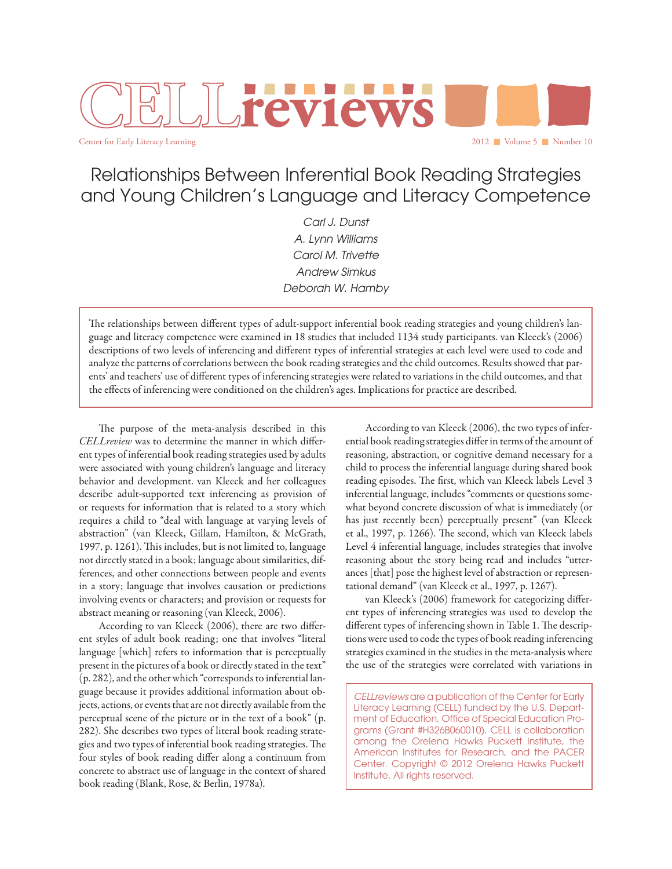# 2012 Volume 5 Number 10 **reviews**

Center for Early Literacy Learning

## Relationships Between Inferential Book Reading Strategies and Young Children's Language and Literacy Competence

*Carl J. Dunst A. Lynn Williams Carol M. Trivette Andrew Simkus Deborah W. Hamby*

The relationships between different types of adult-support inferential book reading strategies and young children's language and literacy competence were examined in 18 studies that included 1134 study participants. van Kleeck's (2006) descriptions of two levels of inferencing and different types of inferential strategies at each level were used to code and analyze the patterns of correlations between the book reading strategies and the child outcomes. Results showed that parents' and teachers' use of different types of inferencing strategies were related to variations in the child outcomes, and that the effects of inferencing were conditioned on the children's ages. Implications for practice are described.

The purpose of the meta-analysis described in this *CELLreview* was to determine the manner in which different types of inferential book reading strategies used by adults were associated with young children's language and literacy behavior and development. van Kleeck and her colleagues describe adult-supported text inferencing as provision of or requests for information that is related to a story which requires a child to "deal with language at varying levels of abstraction" (van Kleeck, Gillam, Hamilton, & McGrath, 1997, p. 1261). This includes, but is not limited to, language not directly stated in a book; language about similarities, differences, and other connections between people and events in a story; language that involves causation or predictions involving events or characters; and provision or requests for abstract meaning or reasoning (van Kleeck, 2006).

According to van Kleeck (2006), there are two different styles of adult book reading; one that involves "literal language [which] refers to information that is perceptually present in the pictures of a book or directly stated in the text" (p. 282), and the other which "corresponds to inferential language because it provides additional information about objects, actions, or events that are not directly available from the perceptual scene of the picture or in the text of a book" (p. 282). She describes two types of literal book reading strategies and two types of inferential book reading strategies. The four styles of book reading differ along a continuum from concrete to abstract use of language in the context of shared book reading (Blank, Rose, & Berlin, 1978a).

According to van Kleeck (2006), the two types of inferential book reading strategies differ in terms of the amount of reasoning, abstraction, or cognitive demand necessary for a child to process the inferential language during shared book reading episodes. The first, which van Kleeck labels Level 3 inferential language, includes "comments or questions somewhat beyond concrete discussion of what is immediately (or has just recently been) perceptually present" (van Kleeck et al., 1997, p. 1266). The second, which van Kleeck labels Level 4 inferential language, includes strategies that involve reasoning about the story being read and includes "utterances [that] pose the highest level of abstraction or representational demand" (van Kleeck et al., 1997, p. 1267).

van Kleeck's (2006) framework for categorizing different types of inferencing strategies was used to develop the different types of inferencing shown in Table 1. The descriptions were used to code the types of book reading inferencing strategies examined in the studies in the meta-analysis where the use of the strategies were correlated with variations in

*CELLreviews* are a publication of the Center for Early Literacy Learning (CELL) funded by the U.S. Department of Education, Office of Special Education Programs (Grant #H326B060010). CELL is collaboration among the Orelena Hawks Puckett Institute, the American Institutes for Research, and the PACER Center. Copyright © 2012 Orelena Hawks Puckett Institute. All rights reserved.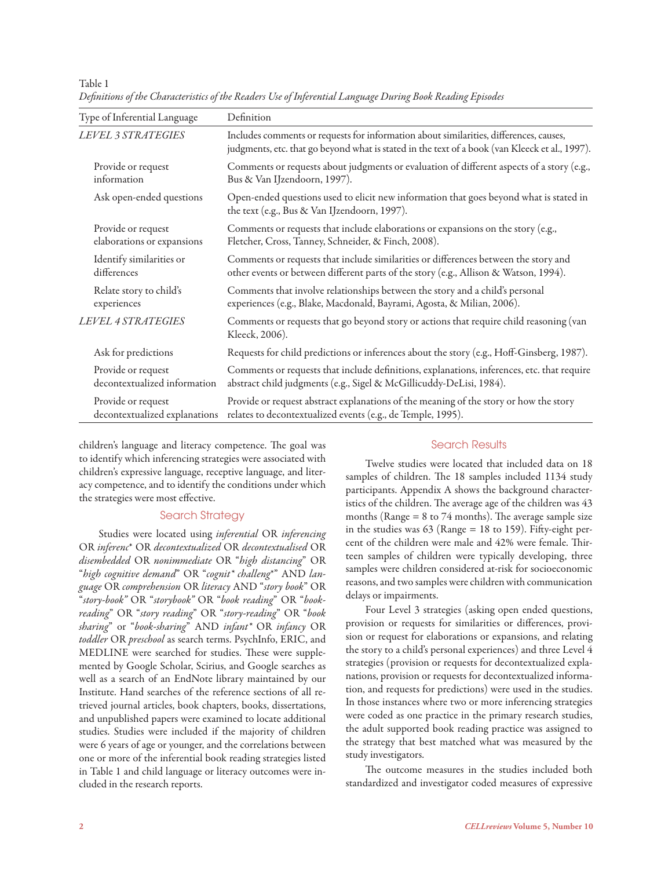| Type of Inferential Language  | Definition                                                                                                                                                                               |
|-------------------------------|------------------------------------------------------------------------------------------------------------------------------------------------------------------------------------------|
| <b>LEVEL 3 STRATEGIES</b>     | Includes comments or requests for information about similarities, differences, causes,<br>judgments, etc. that go beyond what is stated in the text of a book (van Kleeck et al., 1997). |
| Provide or request            | Comments or requests about judgments or evaluation of different aspects of a story (e.g.,                                                                                                |
| information                   | Bus & Van IJzendoorn, 1997).                                                                                                                                                             |
| Ask open-ended questions      | Open-ended questions used to elicit new information that goes beyond what is stated in<br>the text (e.g., Bus & Van IJzendoorn, 1997).                                                   |
| Provide or request            | Comments or requests that include elaborations or expansions on the story (e.g.,                                                                                                         |
| elaborations or expansions    | Fletcher, Cross, Tanney, Schneider, & Finch, 2008).                                                                                                                                      |
| Identify similarities or      | Comments or requests that include similarities or differences between the story and                                                                                                      |
| differences                   | other events or between different parts of the story (e.g., Allison & Watson, 1994).                                                                                                     |
| Relate story to child's       | Comments that involve relationships between the story and a child's personal                                                                                                             |
| experiences                   | experiences (e.g., Blake, Macdonald, Bayrami, Agosta, & Milian, 2006).                                                                                                                   |
| <b>LEVEL 4 STRATEGIES</b>     | Comments or requests that go beyond story or actions that require child reasoning (van<br>Kleeck, 2006).                                                                                 |
| Ask for predictions           | Requests for child predictions or inferences about the story (e.g., Hoff-Ginsberg, 1987).                                                                                                |
| Provide or request            | Comments or requests that include definitions, explanations, inferences, etc. that require                                                                                               |
| decontextualized information  | abstract child judgments (e.g., Sigel & McGillicuddy-DeLisi, 1984).                                                                                                                      |
| Provide or request            | Provide or request abstract explanations of the meaning of the story or how the story                                                                                                    |
| decontextualized explanations | relates to decontextualized events (e.g., de Temple, 1995).                                                                                                                              |

*Definitions of the Characteristics of the Readers Use of Inferential Language During Book Reading Episodes*

children's language and literacy competence. The goal was to identify which inferencing strategies were associated with children's expressive language, receptive language, and literacy competence, and to identify the conditions under which the strategies were most effective.

#### Search Strategy

Studies were located using *inferential* OR *inferencing* OR *inferenc*\* OR *decontextualized* OR *decontextualised* OR *disembedded* OR *nonimmediate* OR "*high distancing*" OR "*high cognitive demand*" OR "*cognit\* challeng*\*" AND *language* OR *comprehension* OR *literacy* AND "*story book*" OR "*story-book"* OR "*storybook"* OR "*book reading*" OR "*bookreading*" OR "*story reading*" OR "*story-reading*" OR "*book sharing*" or "*book-sharing*" AND *infant\** OR *infancy* OR *toddler* OR *preschool* as search terms. PsychInfo, ERIC, and MEDLINE were searched for studies. These were supplemented by Google Scholar, Scirius, and Google searches as well as a search of an EndNote library maintained by our Institute. Hand searches of the reference sections of all retrieved journal articles, book chapters, books, dissertations, and unpublished papers were examined to locate additional studies. Studies were included if the majority of children were 6 years of age or younger, and the correlations between one or more of the inferential book reading strategies listed in Table 1 and child language or literacy outcomes were included in the research reports.

#### Search Results

Twelve studies were located that included data on 18 samples of children. The 18 samples included 1134 study participants. Appendix A shows the background characteristics of the children. The average age of the children was 43 months (Range  $= 8$  to 74 months). The average sample size in the studies was 63 (Range = 18 to 159). Fifty-eight percent of the children were male and 42% were female. Thirteen samples of children were typically developing, three samples were children considered at-risk for socioeconomic reasons, and two samples were children with communication delays or impairments.

Four Level 3 strategies (asking open ended questions, provision or requests for similarities or differences, provision or request for elaborations or expansions, and relating the story to a child's personal experiences) and three Level 4 strategies (provision or requests for decontextualized explanations, provision or requests for decontextualized information, and requests for predictions) were used in the studies. In those instances where two or more inferencing strategies were coded as one practice in the primary research studies, the adult supported book reading practice was assigned to the strategy that best matched what was measured by the study investigators.

The outcome measures in the studies included both standardized and investigator coded measures of expressive

Table 1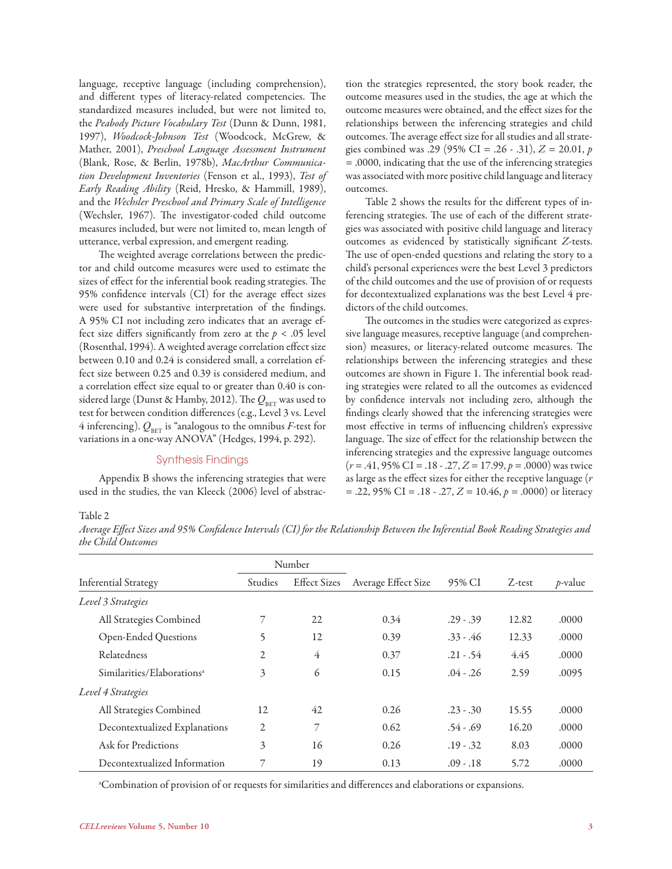language, receptive language (including comprehension), and different types of literacy-related competencies. The standardized measures included, but were not limited to, the *Peabody Picture Vocabulary Test* (Dunn & Dunn, 1981, 1997), *Woodcock-Johnson Test* (Woodcock, McGrew, & Mather, 2001), *Preschool Language Assessment Instrument*  (Blank, Rose, & Berlin, 1978b), *MacArthur Communication Development Inventories* (Fenson et al., 1993), *Test of Early Reading Ability* (Reid, Hresko, & Hammill, 1989), and the *Wechsler Preschool and Primary Scale of Intelligence*  (Wechsler, 1967). The investigator-coded child outcome measures included, but were not limited to, mean length of utterance, verbal expression, and emergent reading.

The weighted average correlations between the predictor and child outcome measures were used to estimate the sizes of effect for the inferential book reading strategies. The 95% confidence intervals (CI) for the average effect sizes were used for substantive interpretation of the findings. A 95% CI not including zero indicates that an average effect size differs significantly from zero at the *p* < .05 level (Rosenthal, 1994). A weighted average correlation effect size between 0.10 and 0.24 is considered small, a correlation effect size between 0.25 and 0.39 is considered medium, and a correlation effect size equal to or greater than 0.40 is considered large (Dunst & Hamby, 2012). The  $Q_{\text{\tiny BET}}$  was used to test for between condition differences (e.g., Level 3 vs. Level 4 inferencing).  $Q_{\text{BET}}$  is "analogous to the omnibus *F*-test for variations in a one-way ANOVA" (Hedges, 1994, p. 292).

#### Synthesis Findings

Appendix B shows the inferencing strategies that were used in the studies, the van Kleeck (2006) level of abstraction the strategies represented, the story book reader, the outcome measures used in the studies, the age at which the outcome measures were obtained, and the effect sizes for the relationships between the inferencing strategies and child outcomes. The average effect size for all studies and all strategies combined was .29 (95% CI = .26 - .31), *Z* = 20.01, *p* = .0000, indicating that the use of the inferencing strategies was associated with more positive child language and literacy outcomes.

Table 2 shows the results for the different types of inferencing strategies. The use of each of the different strategies was associated with positive child language and literacy outcomes as evidenced by statistically significant *Z*-tests. The use of open-ended questions and relating the story to a child's personal experiences were the best Level 3 predictors of the child outcomes and the use of provision of or requests for decontextualized explanations was the best Level 4 predictors of the child outcomes.

The outcomes in the studies were categorized as expressive language measures, receptive language (and comprehension) measures, or literacy-related outcome measures. The relationships between the inferencing strategies and these outcomes are shown in Figure 1. The inferential book reading strategies were related to all the outcomes as evidenced by confidence intervals not including zero, although the findings clearly showed that the inferencing strategies were most effective in terms of influencing children's expressive language. The size of effect for the relationship between the inferencing strategies and the expressive language outcomes (*r* = .41, 95% CI = .18 - .27, *Z* = 17.99, *p* = .0000) was twice as large as the effect sizes for either the receptive language (*r* = .22, 95% CI = .18 - .27, *Z* = 10.46, *p* = .0000) or literacy

#### Table 2

*Average Effect Sizes and 95% Confidence Intervals (CI) for the Relationship Between the Inferential Book Reading Strategies and the Child Outcomes*

|                                        |                | Number              |                     |             |           |            |
|----------------------------------------|----------------|---------------------|---------------------|-------------|-----------|------------|
| <b>Inferential Strategy</b>            | <b>Studies</b> | <b>Effect Sizes</b> | Average Effect Size | 95% CI      | $Z$ -test | $p$ -value |
| Level 3 Strategies                     |                |                     |                     |             |           |            |
| All Strategies Combined                |                | 22                  | 0.34                | $.29 - .39$ | 12.82     | .0000      |
| Open-Ended Questions                   | 5              | 12                  | 0.39                | $.33 - .46$ | 12.33     | .0000      |
| Relatedness                            | 2              | 4                   | 0.37                | $.21 - .54$ | 4.45      | .0000      |
| Similarities/Elaborations <sup>a</sup> | 3              | 6                   | 0.15                | $.04 - .26$ | 2.59      | .0095      |
| Level 4 Strategies                     |                |                     |                     |             |           |            |
| All Strategies Combined                | 12             | 42                  | 0.26                | $.23 - .30$ | 15.55     | .0000      |
| Decontextualized Explanations          | $\overline{c}$ | 7                   | 0.62                | $.54 - .69$ | 16.20     | .0000      |
| Ask for Predictions                    | 3              | 16                  | 0.26                | $.19 - .32$ | 8.03      | .0000      |
| Decontextualized Information           |                | 19                  | 0.13                | .09 - .18   | 5.72      | .0000      |

a Combination of provision of or requests for similarities and differences and elaborations or expansions.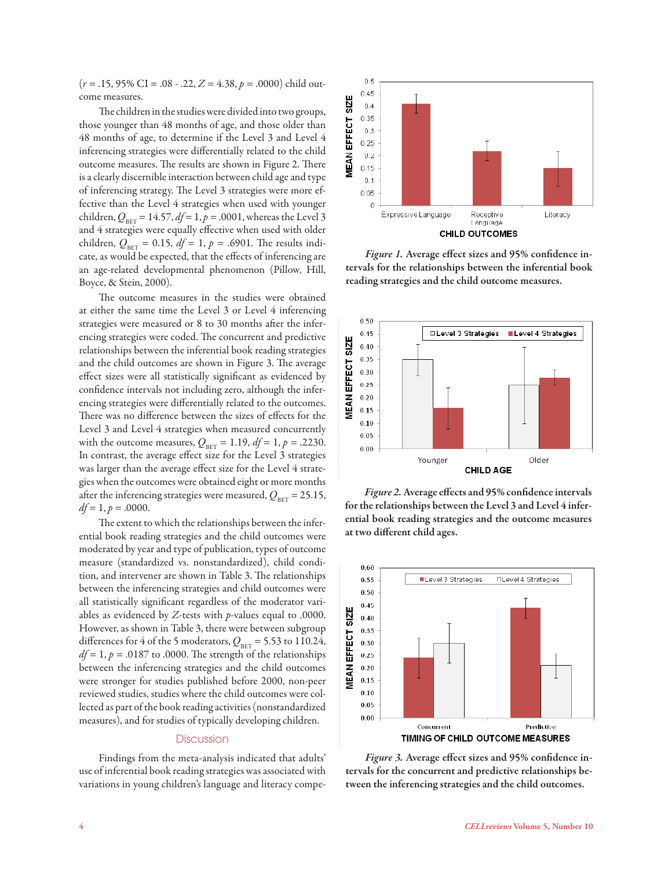(*r* = .15, 95% CI = .08 - .22, *Z* = 4.38, *p* = .0000) child outcome measures.

The children in the studies were divided into two groups, those younger than 48 months of age, and those older than 48 months of age, to determine if the Level 3 and Level 4 inferencing strategies were differentially related to the child outcome measures. The results are shown in Figure 2. There is a clearly discernible interaction between child age and type of inferencing strategy. The Level 3 strategies were more effective than the Level 4 strategies when used with younger children,  $Q_{\text{BET}} = 14.57$ ,  $df = 1$ ,  $p = .0001$ , whereas the Level 3 and 4 strategies were equally effective when used with older children,  $Q_{\text{BET}} = 0.15$ ,  $df = 1$ ,  $p = .6901$ . The results indicate, as would be expected, that the effects of inferencing are an age-related developmental phenomenon (Pillow, Hill, Boyce, & Stein, 2000).

The outcome measures in the studies were obtained at either the same time the Level 3 or Level 4 inferencing strategies were measured or 8 to 30 months after the inferencing strategies were coded. The concurrent and predictive relationships between the inferential book reading strategies and the child outcomes are shown in Figure 3. The average effect sizes were all statistically significant as evidenced by confidence intervals not including zero, although the inferencing strategies were differentially related to the outcomes. There was no difference between the sizes of effects for the Level 3 and Level 4 strategies when measured concurrently with the outcome measures,  $Q_{\text{BET}} = 1.19$ ,  $df = 1$ ,  $p = .2230$ . In contrast, the average effect size for the Level 3 strategies was larger than the average effect size for the Level 4 strategies when the outcomes were obtained eight or more months after the inferencing strategies were measured,  $Q_{\text{BET}} = 25.15$ ,  $df = 1, p = .0000$ .

The extent to which the relationships between the inferential book reading strategies and the child outcomes were moderated by year and type of publication, types of outcome measure (standardized vs. nonstandardized), child condition, and intervener are shown in Table 3. The relationships between the inferencing strategies and child outcomes were all statistically significant regardless of the moderator variables as evidenced by *Z*-tests with *p*-values equal to .0000. However, as shown in Table 3, there were between subgroup differences for 4 of the 5 moderators,  $Q_{\text{BET}} = 5.53$  to 110.24,  $df = 1$ ,  $p = .0187$  to .0000. The strength of the relationships between the inferencing strategies and the child outcomes were stronger for studies published before 2000, non-peer reviewed studies, studies where the child outcomes were collected as part of the book reading activities (nonstandardized measures), and for studies of typically developing children.

#### **Discussion**

Findings from the meta-analysis indicated that adults' use of inferential book reading strategies was associated with variations in young children's language and literacy compe-



*Figure 1.* Average effect sizes and 95% confidence intervals for the relationships between the inferential book reading strategies and the child outcome measures.



*Figure 2.* Average effects and 95% confidence intervals for the relationships between the Level 3 and Level 4 inferential book reading strategies and the outcome measures at two different child ages.



*Figure 3.* Average effect sizes and 95% confidence intervals for the concurrent and predictive relationships between the inferencing strategies and the child outcomes.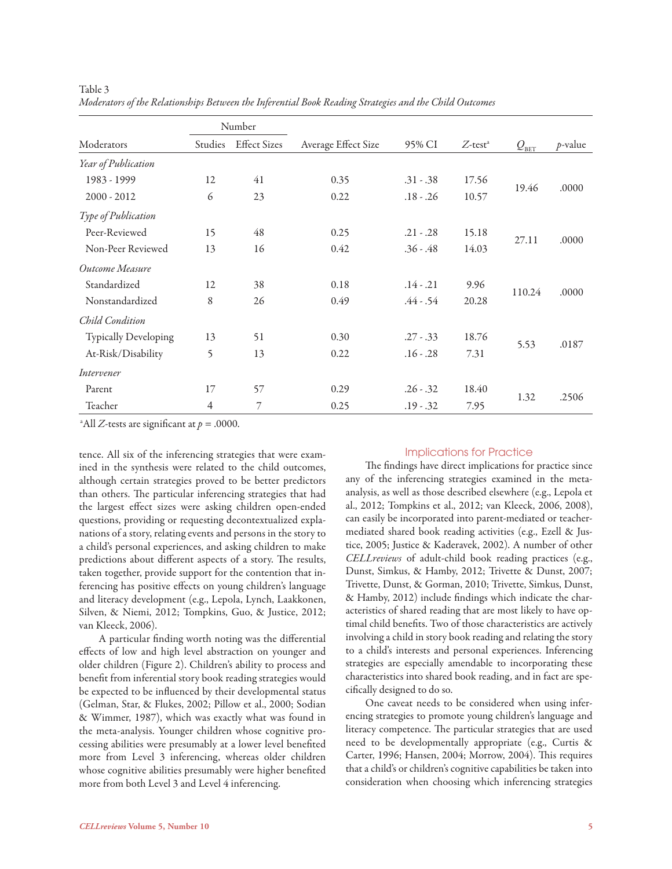|                      |                | Number              |                     |             |                        |                              |            |
|----------------------|----------------|---------------------|---------------------|-------------|------------------------|------------------------------|------------|
| Moderators           | Studies        | <b>Effect Sizes</b> | Average Effect Size | 95% CI      | $Z$ -test <sup>a</sup> | $\mathcal{Q}_{\texttt{BET}}$ | $p$ -value |
| Year of Publication  |                |                     |                     |             |                        |                              |            |
| 1983 - 1999          | 12             | 41                  | 0.35                | $.31 - .38$ | 17.56                  |                              | .0000      |
| $2000 - 2012$        | 6              | 23                  | 0.22                | $.18 - .26$ | 10.57                  | 19.46                        |            |
| Type of Publication  |                |                     |                     |             |                        |                              |            |
| Peer-Reviewed        | 15             | 48                  | 0.25                | $.21 - .28$ | 15.18                  |                              | .0000      |
| Non-Peer Reviewed    | 13             | 16                  | 0.42                | $.36 - .48$ | 14.03                  | 27.11                        |            |
| Outcome Measure      |                |                     |                     |             |                        |                              |            |
| Standardized         | 12             | 38                  | 0.18                | $.14 - .21$ | 9.96                   |                              | .0000      |
| Nonstandardized      | 8              | 26                  | 0.49                | $.44 - .54$ | 20.28                  | 110.24                       |            |
| Child Condition      |                |                     |                     |             |                        |                              |            |
| Typically Developing | 13             | 51                  | 0.30                | $.27 - .33$ | 18.76                  |                              |            |
| At-Risk/Disability   | 5              | 13                  | 0.22                | $.16 - .28$ | 7.31                   | 5.53                         | .0187      |
| Intervener           |                |                     |                     |             |                        |                              |            |
| Parent               | 17             | 57                  | 0.29                | $.26 - .32$ | 18.40                  |                              |            |
| Teacher              | $\overline{4}$ | 7                   | 0.25                | $.19 - .32$ | 7.95                   | 1.32                         | .2506      |

Table 3 *Moderators of the Relationships Between the Inferential Book Reading Strategies and the Child Outcomes*

<sup>a</sup>All *Z*-tests are significant at  $p = .0000$ .

tence. All six of the inferencing strategies that were examined in the synthesis were related to the child outcomes, although certain strategies proved to be better predictors than others. The particular inferencing strategies that had the largest effect sizes were asking children open-ended questions, providing or requesting decontextualized explanations of a story, relating events and persons in the story to a child's personal experiences, and asking children to make predictions about different aspects of a story. The results, taken together, provide support for the contention that inferencing has positive effects on young children's language and literacy development (e.g., Lepola, Lynch, Laakkonen, Silven, & Niemi, 2012; Tompkins, Guo, & Justice, 2012; van Kleeck, 2006).

A particular finding worth noting was the differential effects of low and high level abstraction on younger and older children (Figure 2). Children's ability to process and benefit from inferential story book reading strategies would be expected to be influenced by their developmental status (Gelman, Star, & Flukes, 2002; Pillow et al., 2000; Sodian & Wimmer, 1987), which was exactly what was found in the meta-analysis. Younger children whose cognitive processing abilities were presumably at a lower level benefited more from Level 3 inferencing, whereas older children whose cognitive abilities presumably were higher benefited more from both Level 3 and Level 4 inferencing.

#### Implications for Practice

The findings have direct implications for practice since any of the inferencing strategies examined in the metaanalysis, as well as those described elsewhere (e.g., Lepola et al., 2012; Tompkins et al., 2012; van Kleeck, 2006, 2008), can easily be incorporated into parent-mediated or teachermediated shared book reading activities (e.g., Ezell & Justice, 2005; Justice & Kaderavek, 2002). A number of other *CELLreviews* of adult-child book reading practices (e.g., Dunst, Simkus, & Hamby, 2012; Trivette & Dunst, 2007; Trivette, Dunst, & Gorman, 2010; Trivette, Simkus, Dunst, & Hamby, 2012) include findings which indicate the characteristics of shared reading that are most likely to have optimal child benefits. Two of those characteristics are actively involving a child in story book reading and relating the story to a child's interests and personal experiences. Inferencing strategies are especially amendable to incorporating these characteristics into shared book reading, and in fact are specifically designed to do so.

One caveat needs to be considered when using inferencing strategies to promote young children's language and literacy competence. The particular strategies that are used need to be developmentally appropriate (e.g., Curtis & Carter, 1996; Hansen, 2004; Morrow, 2004). This requires that a child's or children's cognitive capabilities be taken into consideration when choosing which inferencing strategies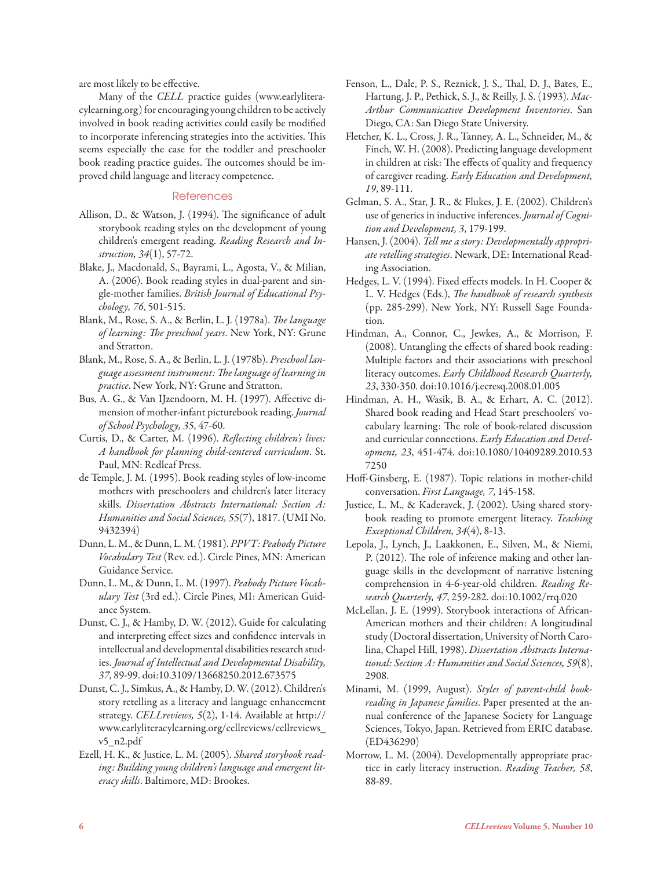are most likely to be effective.

Many of the *CELL* practice guides (www.earlyliteracylearning.org) for encouraging young children to be actively involved in book reading activities could easily be modified to incorporate inferencing strategies into the activities. This seems especially the case for the toddler and preschooler book reading practice guides. The outcomes should be improved child language and literacy competence.

#### **References**

- Allison, D., & Watson, J. (1994). The significance of adult storybook reading styles on the development of young children's emergent reading. *Reading Research and Instruction, 34*(1), 57-72.
- Blake, J., Macdonald, S., Bayrami, L., Agosta, V., & Milian, A. (2006). Book reading styles in dual-parent and single-mother families. *British Journal of Educational Psychology, 76*, 501-515.
- Blank, M., Rose, S. A., & Berlin, L. J. (1978a). *The language of learning: The preschool years*. New York, NY: Grune and Stratton.
- Blank, M., Rose, S. A., & Berlin, L. J. (1978b). *Preschool language assessment instrument: The language of learning in practice*. New York, NY: Grune and Stratton.
- Bus, A. G., & Van IJzendoorn, M. H. (1997). Affective dimension of mother-infant picturebook reading. *Journal of School Psychology, 35*, 47-60.
- Curtis, D., & Carter, M. (1996). *Reflecting children's lives: A handbook for planning child-centered curriculum*. St. Paul, MN: Redleaf Press.
- de Temple, J. M. (1995). Book reading styles of low-income mothers with preschoolers and children's later literacy skills. *Dissertation Abstracts International: Section A: Humanities and Social Sciences, 55*(7), 1817. (UMI No. 9432394)
- Dunn, L. M., & Dunn, L. M. (1981). *PPVT: Peabody Picture Vocabulary Test* (Rev. ed.). Circle Pines, MN: American Guidance Service.
- Dunn, L. M., & Dunn, L. M. (1997). *Peabody Picture Vocabulary Test* (3rd ed.). Circle Pines, MI: American Guidance System.
- Dunst, C. J., & Hamby, D. W. (2012). Guide for calculating and interpreting effect sizes and confidence intervals in intellectual and developmental disabilities research studies. *Journal of Intellectual and Developmental Disability, 37*, 89-99. doi:10.3109/13668250.2012.673575
- Dunst, C. J., Simkus, A., & Hamby, D. W. (2012). Children's story retelling as a literacy and language enhancement strategy. *CELLreviews, 5*(2), 1-14. Available at http:// www.earlyliteracylearning.org/cellreviews/cellreviews\_ v5\_n2.pdf
- Ezell, H. K., & Justice, L. M. (2005). *Shared storybook reading: Building young children's language and emergent literacy skills*. Baltimore, MD: Brookes.
- Fenson, L., Dale, P. S., Reznick, J. S., Thal, D. J., Bates, E., Hartung, J. P., Pethick, S. J., & Reilly, J. S. (1993). *Mac-Arthur Communicative Development Inventories*. San Diego, CA: San Diego State University.
- Fletcher, K. L., Cross, J. R., Tanney, A. L., Schneider, M., & Finch, W. H. (2008). Predicting language development in children at risk: The effects of quality and frequency of caregiver reading. *Early Education and Development, 19*, 89-111.
- Gelman, S. A., Star, J. R., & Flukes, J. E. (2002). Children's use of generics in inductive inferences. *Journal of Cognition and Development, 3*, 179-199.
- Hansen, J. (2004). *Tell me a story: Developmentally appropriate retelling strategies*. Newark, DE: International Reading Association.
- Hedges, L. V. (1994). Fixed effects models. In H. Cooper & L. V. Hedges (Eds.), *The handbook of research synthesis* (pp. 285-299). New York, NY: Russell Sage Foundation.
- Hindman, A., Connor, C., Jewkes, A., & Morrison, F. (2008). Untangling the effects of shared book reading: Multiple factors and their associations with preschool literacy outcomes. *Early Childhood Research Quarterly, 23*, 330-350. doi:10.1016/j.ecresq.2008.01.005
- Hindman, A. H., Wasik, B. A., & Erhart, A. C. (2012). Shared book reading and Head Start preschoolers' vocabulary learning: The role of book-related discussion and curricular connections. *Early Education and Development, 23*, 451-474. doi:10.1080/10409289.2010.53 7250
- Hoff-Ginsberg, E. (1987). Topic relations in mother-child conversation. *First Language, 7*, 145-158.
- Justice, L. M., & Kaderavek, J. (2002). Using shared storybook reading to promote emergent literacy. *Teaching Exceptional Children, 34*(4), 8-13.
- Lepola, J., Lynch, J., Laakkonen, E., Silven, M., & Niemi, P. (2012). The role of inference making and other language skills in the development of narrative listening comprehension in 4-6-year-old children. *Reading Research Quarterly, 47*, 259-282. doi:10.1002/rrq.020
- McLellan, J. E. (1999). Storybook interactions of African-American mothers and their children: A longitudinal study (Doctoral dissertation, University of North Carolina, Chapel Hill, 1998). *Dissertation Abstracts International: Section A: Humanities and Social Sciences, 59*(8), 2908.
- Minami, M. (1999, August). *Styles of parent-child bookreading in Japanese families*. Paper presented at the annual conference of the Japanese Society for Language Sciences, Tokyo, Japan. Retrieved from ERIC database. (ED436290)
- Morrow, L. M. (2004). Developmentally appropriate practice in early literacy instruction. *Reading Teacher, 58*, 88-89.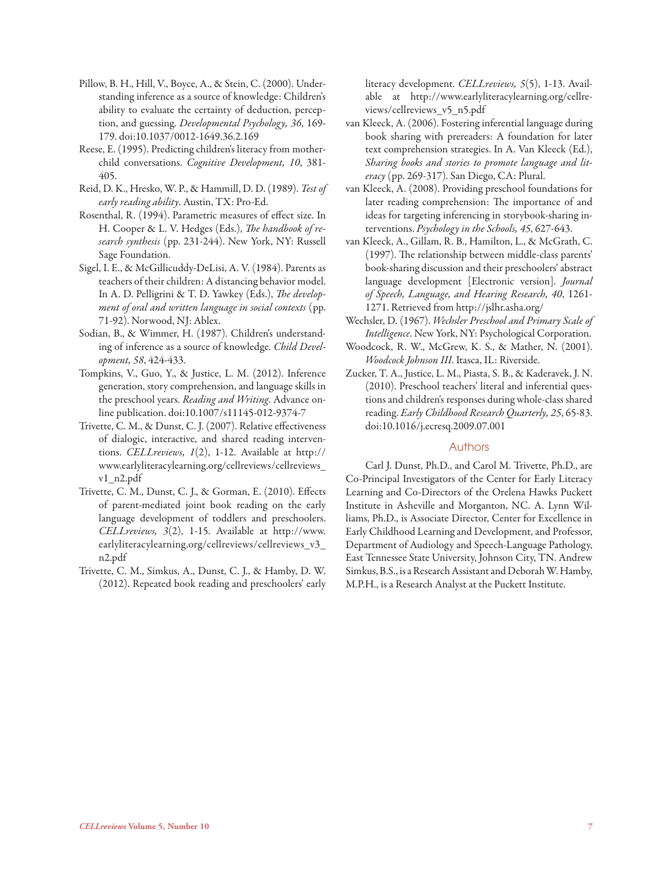- Pillow, B. H., Hill, V., Boyce, A., & Stein, C. (2000). Understanding inference as a source of knowledge: Children's ability to evaluate the certainty of deduction, perception, and guessing. *Developmental Psychology, 36*, 169- 179. doi:10.1037/0012-1649.36.2.169
- Reese, E. (1995). Predicting children's literacy from motherchild conversations. *Cognitive Development, 10*, 381- 405.
- Reid, D. K., Hresko, W. P., & Hammill, D. D. (1989). *Test of early reading ability*. Austin, TX: Pro-Ed.
- Rosenthal, R. (1994). Parametric measures of effect size. In H. Cooper & L. V. Hedges (Eds.), *The handbook of research synthesis* (pp. 231-244). New York, NY: Russell Sage Foundation.
- Sigel, I. E., & McGillicuddy-DeLisi, A. V. (1984). Parents as teachers of their children: A distancing behavior model. In A. D. Pelligrini & T. D. Yawkey (Eds.), *The development of oral and written language in social contexts* (pp. 71-92). Norwood, NJ: Ablex.
- Sodian, B., & Wimmer, H. (1987). Children's understanding of inference as a source of knowledge. *Child Development, 58*, 424-433.
- Tompkins, V., Guo, Y., & Justice, L. M. (2012). Inference generation, story comprehension, and language skills in the preschool years. *Reading and Writing*. Advance online publication. doi:10.1007/s11145-012-9374-7
- Trivette, C. M., & Dunst, C. J. (2007). Relative effectiveness of dialogic, interactive, and shared reading interventions. *CELLreviews, 1*(2), 1-12. Available at http:// www.earlyliteracylearning.org/cellreviews/cellreviews\_ v1\_n2.pdf
- Trivette, C. M., Dunst, C. J., & Gorman, E. (2010). Effects of parent-mediated joint book reading on the early language development of toddlers and preschoolers. *CELLreviews, 3*(2), 1-15. Available at http://www. earlyliteracylearning.org/cellreviews/cellreviews\_v3\_ n2.pdf
- Trivette, C. M., Simkus, A., Dunst, C. J., & Hamby, D. W. (2012). Repeated book reading and preschoolers' early

literacy development. *CELLreviews, 5*(5), 1-13. Available at http://www.earlyliteracylearning.org/cellreviews/cellreviews\_v5\_n5.pdf

- van Kleeck, A. (2006). Fostering inferential language during book sharing with prereaders: A foundation for later text comprehension strategies. In A. Van Kleeck (Ed.), *Sharing books and stories to promote language and literacy* (pp. 269-317). San Diego, CA: Plural.
- van Kleeck, A. (2008). Providing preschool foundations for later reading comprehension: The importance of and ideas for targeting inferencing in storybook-sharing interventions. *Psychology in the Schools, 45*, 627-643.
- van Kleeck, A., Gillam, R. B., Hamilton, L., & McGrath, C. (1997). The relationship between middle-class parents' book-sharing discussion and their preschoolers' abstract language development [Electronic version]. *Journal of Speech, Language, and Hearing Research, 40*, 1261- 1271. Retrieved from http://jslhr.asha.org/
- Wechsler, D. (1967). *Wechsler Preschool and Primary Scale of Intelligence*. New York, NY: Psychological Corporation.
- Woodcock, R. W., McGrew, K. S., & Mather, N. (2001). *Woodcock Johnson III*. Itasca, IL: Riverside.
- Zucker, T. A., Justice, L. M., Piasta, S. B., & Kaderavek, J. N. (2010). Preschool teachers' literal and inferential questions and children's responses during whole-class shared reading. *Early Childhood Research Quarterly, 25*, 65-83. doi:10.1016/j.ecresq.2009.07.001

#### Authors

Carl J. Dunst, Ph.D., and Carol M. Trivette, Ph.D., are Co-Principal Investigators of the Center for Early Literacy Learning and Co-Directors of the Orelena Hawks Puckett Institute in Asheville and Morganton, NC. A. Lynn Williams, Ph.D., is Associate Director, Center for Excellence in Early Childhood Learning and Development, and Professor, Department of Audiology and Speech-Language Pathology, East Tennessee State University, Johnson City, TN. Andrew Simkus, B.S., is a Research Assistant and Deborah W. Hamby, M.P.H., is a Research Analyst at the Puckett Institute.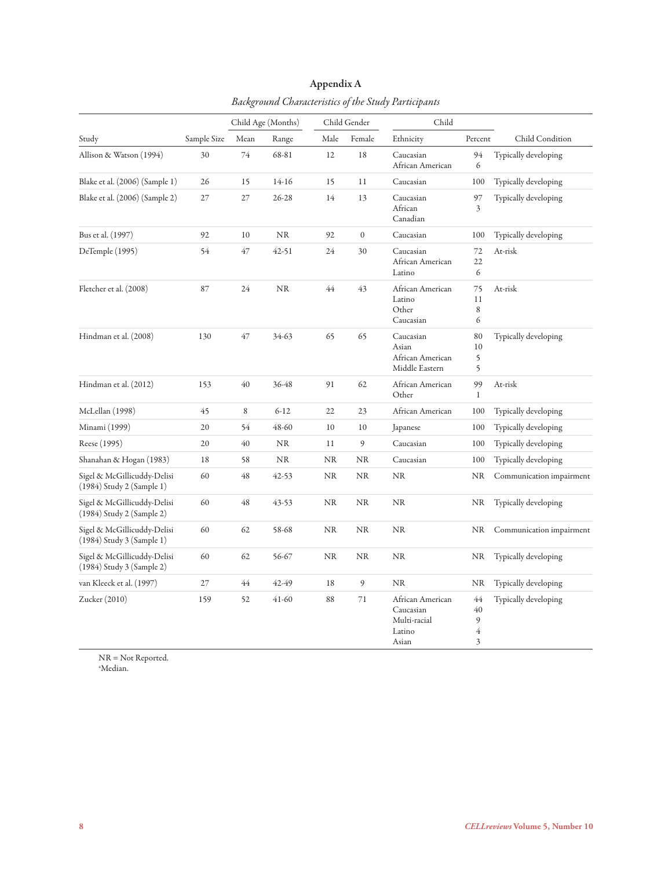|                                                          | Child Age (Months)<br>Child Gender |      | Child     |      |                  |                                                                  |                         |                          |
|----------------------------------------------------------|------------------------------------|------|-----------|------|------------------|------------------------------------------------------------------|-------------------------|--------------------------|
| Study                                                    | Sample Size                        | Mean | Range     | Male | Female           | Ethnicity                                                        | Percent                 | Child Condition          |
| Allison & Watson (1994)                                  | 30                                 | 74   | 68-81     | 12   | 18               | Caucasian<br>African American                                    | 94<br>6                 | Typically developing     |
| Blake et al. (2006) (Sample 1)                           | 26                                 | 15   | $14-16$   | 15   | 11               | Caucasian                                                        | 100                     | Typically developing     |
| Blake et al. (2006) (Sample 2)                           | 27                                 | 27   | $26 - 28$ | 14   | 13               | Caucasian<br>African<br>Canadian                                 | 97<br>3                 | Typically developing     |
| Bus et al. (1997)                                        | 92                                 | 10   | NR        | 92   | $\boldsymbol{0}$ | Caucasian                                                        | 100                     | Typically developing     |
| DeTemple (1995)                                          | 54                                 | 47   | 42-51     | 24   | 30               | Caucasian<br>African American<br>Latino                          | 72<br>22<br>6           | At-risk                  |
| Fletcher et al. (2008)                                   | 87                                 | 24   | NR        | 44   | 43               | African American<br>Latino<br>Other<br>Caucasian                 | 75<br>11<br>8<br>6      | At-risk                  |
| Hindman et al. (2008)                                    | 130                                | 47   | 34-63     | 65   | 65               | Caucasian<br>Asian<br>African American<br>Middle Eastern         | 80<br>10<br>5<br>5      | Typically developing     |
| Hindman et al. (2012)                                    | 153                                | 40   | 36-48     | 91   | 62               | African American<br>Other                                        | 99<br>$\mathbf 1$       | At-risk                  |
| McLellan (1998)                                          | 45                                 | 8    | $6 - 12$  | 22   | 23               | African American                                                 | 100                     | Typically developing     |
| Minami (1999)                                            | 20                                 | 54   | 48-60     | 10   | 10               | Japanese                                                         | 100                     | Typically developing     |
| Reese (1995)                                             | 20                                 | 40   | NR        | 11   | 9                | Caucasian                                                        | 100                     | Typically developing     |
| Shanahan & Hogan (1983)                                  | 18                                 | 58   | NR        | NR   | <b>NR</b>        | Caucasian                                                        | 100                     | Typically developing     |
| Sigel & McGillicuddy-Delisi<br>(1984) Study 2 (Sample 1) | 60                                 | 48   | $42 - 53$ | NR   | <b>NR</b>        | <b>NR</b>                                                        | NR                      | Communication impairment |
| Sigel & McGillicuddy-Delisi<br>(1984) Study 2 (Sample 2) | 60                                 | 48   | 43-53     | NR   | <b>NR</b>        | <b>NR</b>                                                        | <b>NR</b>               | Typically developing     |
| Sigel & McGillicuddy-Delisi<br>(1984) Study 3 (Sample 1) | 60                                 | 62   | 58-68     | NR   | $\rm NR$         | <b>NR</b>                                                        | NR                      | Communication impairment |
| Sigel & McGillicuddy-Delisi<br>(1984) Study 3 (Sample 2) | 60                                 | 62   | 56-67     | NR   | <b>NR</b>        | NR                                                               | NR                      | Typically developing     |
| van Kleeck et al. (1997)                                 | 27                                 | 44   | 42-49     | 18   | 9                | <b>NR</b>                                                        | NR                      | Typically developing     |
| Zucker (2010)                                            | 159                                | 52   | $41-60$   | 88   | 71               | African American<br>Caucasian<br>Multi-racial<br>Latino<br>Asian | 44<br>40<br>9<br>4<br>3 | Typically developing     |

## Appendix A *Background Characteristics of the Study Participants*

NR = Not Reported. a Median.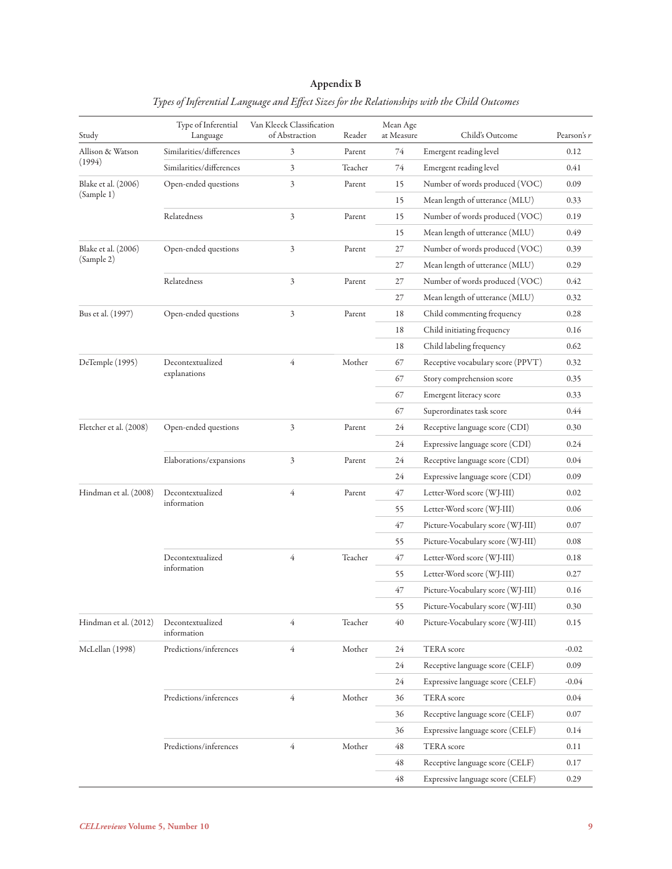## Appendix B

| Study                  | Type of Inferential<br>Language | Van Kleeck Classification<br>of Abstraction | Reader  | Mean Age<br>at Measure | Child's Outcome                   | Pearson's r |
|------------------------|---------------------------------|---------------------------------------------|---------|------------------------|-----------------------------------|-------------|
| Allison & Watson       | Similarities/differences        | 3                                           | Parent  | 74                     | Emergent reading level            | 0.12        |
| (1994)                 | Similarities/differences        | 3                                           | Teacher | 74                     | Emergent reading level            | 0.41        |
| Blake et al. (2006)    | Open-ended questions            | 3                                           | Parent  | 15                     | Number of words produced (VOC)    | 0.09        |
| (Sample 1)             |                                 |                                             |         | 15                     | Mean length of utterance (MLU)    | 0.33        |
|                        | Relatedness                     | $\mathfrak{Z}$                              | Parent  | 15                     | Number of words produced (VOC)    | 0.19        |
|                        |                                 |                                             |         | 15                     | Mean length of utterance (MLU)    | 0.49        |
| Blake et al. (2006)    | Open-ended questions            | 3                                           | Parent  | 27                     | Number of words produced (VOC)    | 0.39        |
| (Sample 2)             |                                 |                                             |         | 27                     | Mean length of utterance (MLU)    | 0.29        |
|                        | Relatedness                     | 3                                           | Parent  | 27                     | Number of words produced (VOC)    | 0.42        |
|                        |                                 |                                             |         | 27                     | Mean length of utterance (MLU)    | 0.32        |
| Bus et al. (1997)      | Open-ended questions            | 3                                           | Parent  | 18                     | Child commenting frequency        | 0.28        |
|                        |                                 |                                             |         | 18                     | Child initiating frequency        | 0.16        |
|                        |                                 |                                             |         | 18                     | Child labeling frequency          | 0.62        |
| DeTemple (1995)        | Decontextualized                | $\overline{4}$                              | Mother  | 67                     | Receptive vocabulary score (PPVT) | 0.32        |
|                        | explanations                    |                                             |         | 67                     | Story comprehension score         | 0.35        |
|                        |                                 |                                             |         | 67                     | Emergent literacy score           | 0.33        |
|                        |                                 |                                             |         | 67                     | Superordinates task score         | 0.44        |
| Fletcher et al. (2008) | Open-ended questions            | 3                                           | Parent  | 24                     | Receptive language score (CDI)    | 0.30        |
|                        |                                 |                                             |         | 24                     | Expressive language score (CDI)   | 0.24        |
|                        | Elaborations/expansions         | 3                                           | Parent  | 24                     | Receptive language score (CDI)    | 0.04        |
|                        |                                 |                                             |         | 24                     | Expressive language score (CDI)   | 0.09        |
| Hindman et al. (2008)  | Decontextualized                | $\overline{4}$                              | Parent  | 47                     | Letter-Word score (WJ-III)        | 0.02        |
|                        | information                     |                                             |         | 55                     | Letter-Word score (WJ-III)        | 0.06        |
|                        |                                 |                                             |         | 47                     | Picture-Vocabulary score (WJ-III) | 0.07        |
|                        |                                 |                                             |         | 55                     | Picture-Vocabulary score (WJ-III) | 0.08        |
|                        | Decontextualized                | $\overline{4}$                              | Teacher | 47                     | Letter-Word score (WJ-III)        | 0.18        |
|                        | information                     |                                             |         | 55                     | Letter-Word score (WJ-III)        | 0.27        |
|                        |                                 |                                             |         | 47                     | Picture-Vocabulary score (WJ-III) | 0.16        |
|                        |                                 |                                             |         | 55                     | Picture-Vocabulary score (WJ-III) | $0.30\,$    |
| Hindman et al. (2012)  | Decontextualized<br>information | 4                                           | Teacher | 40                     | Picture-Vocabulary score (WJ-III) | 0.15        |
| McLellan (1998)        | Predictions/inferences          | $\overline{4}$                              | Mother  | 24                     | <b>TERA</b> score                 | $-0.02$     |
|                        |                                 |                                             |         | 24                     | Receptive language score (CELF)   | 0.09        |
|                        |                                 |                                             |         | 24                     | Expressive language score (CELF)  | $-0.04$     |
|                        | Predictions/inferences          | $\overline{4}$                              | Mother  | 36                     | <b>TERA</b> score                 | 0.04        |
|                        |                                 |                                             |         | 36                     | Receptive language score (CELF)   | 0.07        |
|                        |                                 |                                             |         | 36                     | Expressive language score (CELF)  | 0.14        |
|                        | Predictions/inferences          | $\overline{4}$                              | Mother  | 48                     | TERA score                        | 0.11        |
|                        |                                 |                                             |         | 48                     | Receptive language score (CELF)   | 0.17        |
|                        |                                 |                                             |         | 48                     | Expressive language score (CELF)  | 0.29        |

## *Types of Inferential Language and Effect Sizes for the Relationships with the Child Outcomes*